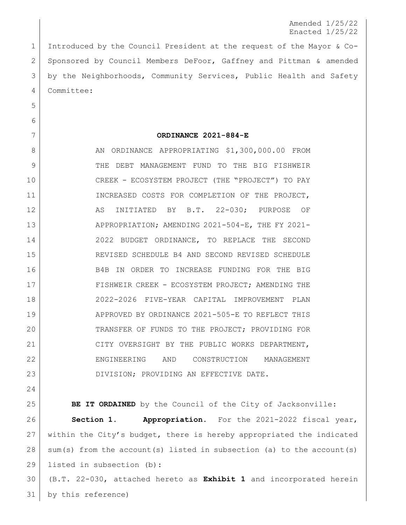## Amended 1/25/22 Enacted 1/25/22

 Introduced by the Council President at the request of the Mayor & Co- Sponsored by Council Members DeFoor, Gaffney and Pittman & amended by the Neighborhoods, Community Services, Public Health and Safety Committee:

## **ORDINANCE 2021-884-E**

8 AN ORDINANCE APPROPRIATING \$1,300,000.00 FROM 9 THE DEBT MANAGEMENT FUND TO THE BIG FISHWEIR CREEK - ECOSYSTEM PROJECT (THE "PROJECT") TO PAY 11 INCREASED COSTS FOR COMPLETION OF THE PROJECT, AS INITIATED BY B.T. 22-030; PURPOSE OF 13 APPROPRIATION; AMENDING 2021-504-E, THE FY 2021- 2022 BUDGET ORDINANCE, TO REPLACE THE SECOND REVISED SCHEDULE B4 AND SECOND REVISED SCHEDULE B4B IN ORDER TO INCREASE FUNDING FOR THE BIG 17 FISHWEIR CREEK - ECOSYSTEM PROJECT; AMENDING THE 2022-2026 FIVE-YEAR CAPITAL IMPROVEMENT PLAN APPROVED BY ORDINANCE 2021-505-E TO REFLECT THIS TRANSFER OF FUNDS TO THE PROJECT; PROVIDING FOR 21 CITY OVERSIGHT BY THE PUBLIC WORKS DEPARTMENT, ENGINEERING AND CONSTRUCTION MANAGEMENT DIVISION; PROVIDING AN EFFECTIVE DATE.

**BE IT ORDAINED** by the Council of the City of Jacksonville:

 **Section 1. Appropriation.** For the 2021-2022 fiscal year, 27 within the City's budget, there is hereby appropriated the indicated  $28 \mid$  sum(s) from the account(s) listed in subsection (a) to the account(s) listed in subsection (b):

 (B.T. 22-030, attached hereto as **Exhibit 1** and incorporated herein by this reference)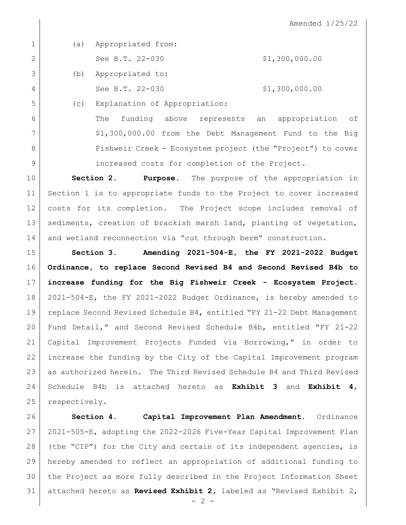Amended 1/25/22

|                | (a)                        | Appropriated from:            |                |
|----------------|----------------------------|-------------------------------|----------------|
| $\overline{2}$ |                            | See B.T. 22-030               | \$1,300,000.00 |
| 3              | (b)                        | Appropriated to:              |                |
| 4              |                            | See B.T. 22-030               | \$1,300,000.00 |
| 5              | $\left( \mathrm{C}\right)$ | Explanation of Appropriation: |                |

 The funding above represents an appropriation of 7 | \$1,300,000.00 from the Debt Management Fund to the Big 8 Fishweir Creek - Ecosystem project (the "Project") to cover increased costs for completion of the Project.

 **Section 2. Purpose.** The purpose of the appropriation in Section 1 is to appropriate funds to the Project to cover increased costs for its completion. The Project scope includes removal of 13 | sediments, creation of brackish marsh land, planting of vegetation, 14 and wetland reconnection via "cut through berm" construction.

 **Section 3. Amending 2021-504-E, the FY 2021-2022 Budget Ordinance, to replace Second Revised B4 and Second Revised B4b to increase funding for the Big Fishweir Creek - Ecosystem Project.**  2021-504-E, the FY 2021-2022 Budget Ordinance, is hereby amended to 19 | replace Second Revised Schedule B4, entitled "FY 21-22 Debt Management Fund Detail," and Second Revised Schedule B4b, entitled "FY 21-22 Capital Improvement Projects Funded via Borrowing," in order to increase the funding by the City of the Capital Improvement program as authorized herein. The Third Revised Schedule B4 and Third Revised Schedule B4b is attached hereto as **Exhibit 3** and **Exhibit 4**, 25 respectively.

 **Section 4. Capital Improvement Plan Amendment.** Ordinance 2021-505-E, adopting the 2022-2026 Five-Year Capital Improvement Plan (the "CIP") for the City and certain of its independent agencies, is hereby amended to reflect an appropriation of additional funding to the Project as more fully described in the Project Information Sheet attached hereto as **Revised Exhibit 2,** labeled as "Revised Exhibit 2,

 $-2 -$